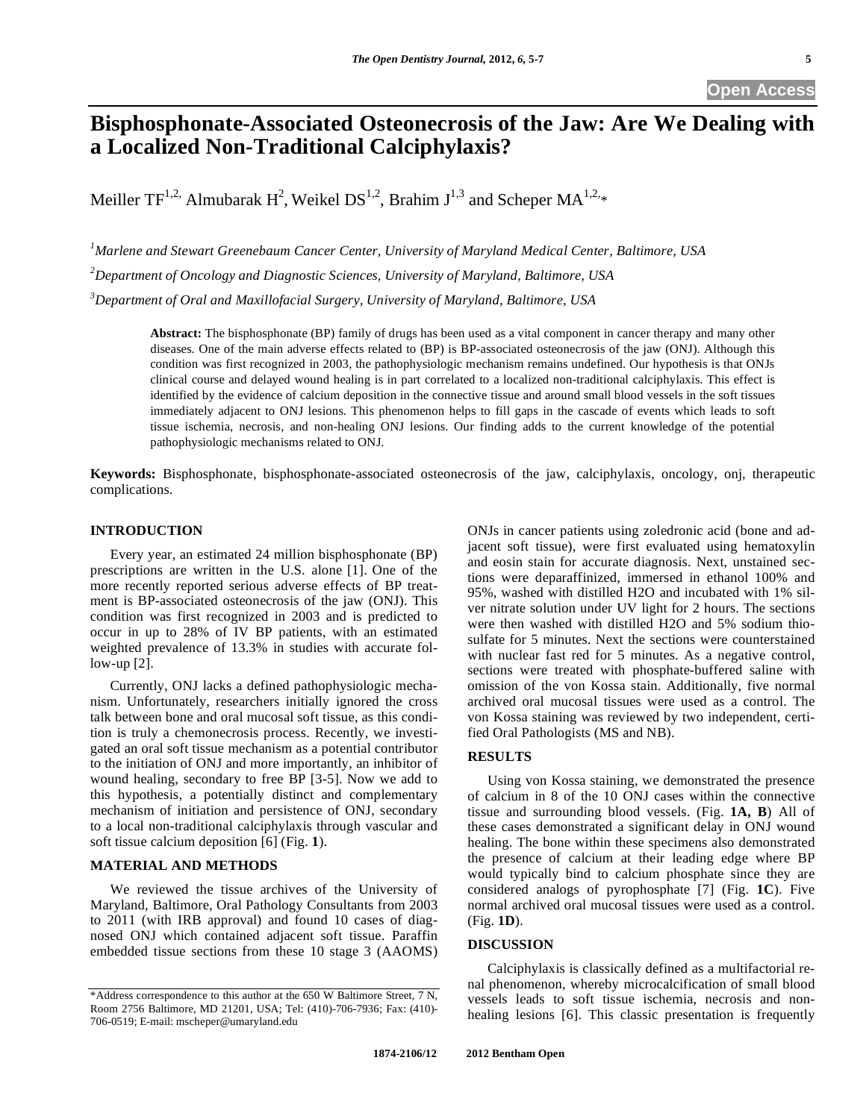# **Open Access**

# **Bisphosphonate-Associated Osteonecrosis of the Jaw: Are We Dealing with a Localized Non-Traditional Calciphylaxis?**

Meiller TF<sup>1,2,</sup> Almubarak H<sup>2</sup>, Weikel DS<sup>1,2</sup>, Brahim J<sup>1,3</sup> and Scheper MA<sup>1,2,</sup>\*

*1 Marlene and Stewart Greenebaum Cancer Center, University of Maryland Medical Center, Baltimore, USA 2 Department of Oncology and Diagnostic Sciences, University of Maryland, Baltimore, USA* 

*3 Department of Oral and Maxillofacial Surgery, University of Maryland, Baltimore, USA* 

**Abstract:** The bisphosphonate (BP) family of drugs has been used as a vital component in cancer therapy and many other diseases. One of the main adverse effects related to (BP) is BP-associated osteonecrosis of the jaw (ONJ). Although this condition was first recognized in 2003, the pathophysiologic mechanism remains undefined. Our hypothesis is that ONJs clinical course and delayed wound healing is in part correlated to a localized non-traditional calciphylaxis. This effect is identified by the evidence of calcium deposition in the connective tissue and around small blood vessels in the soft tissues immediately adjacent to ONJ lesions. This phenomenon helps to fill gaps in the cascade of events which leads to soft tissue ischemia, necrosis, and non-healing ONJ lesions. Our finding adds to the current knowledge of the potential pathophysiologic mechanisms related to ONJ.

**Keywords:** Bisphosphonate, bisphosphonate-associated osteonecrosis of the jaw, calciphylaxis, oncology, onj, therapeutic complications.

# **INTRODUCTION**

Every year, an estimated 24 million bisphosphonate (BP) prescriptions are written in the U.S. alone [1]. One of the more recently reported serious adverse effects of BP treatment is BP-associated osteonecrosis of the jaw (ONJ). This condition was first recognized in 2003 and is predicted to occur in up to 28% of IV BP patients, with an estimated weighted prevalence of 13.3% in studies with accurate follow-up [2].

Currently, ONJ lacks a defined pathophysiologic mechanism. Unfortunately, researchers initially ignored the cross talk between bone and oral mucosal soft tissue, as this condition is truly a chemonecrosis process. Recently, we investigated an oral soft tissue mechanism as a potential contributor to the initiation of ONJ and more importantly, an inhibitor of wound healing, secondary to free BP [3-5]. Now we add to this hypothesis, a potentially distinct and complementary mechanism of initiation and persistence of ONJ, secondary to a local non-traditional calciphylaxis through vascular and soft tissue calcium deposition [6] (Fig. **1**).

# **MATERIAL AND METHODS**

We reviewed the tissue archives of the University of Maryland, Baltimore, Oral Pathology Consultants from 2003 to 2011 (with IRB approval) and found 10 cases of diagnosed ONJ which contained adjacent soft tissue. Paraffin embedded tissue sections from these 10 stage 3 (AAOMS)

ONJs in cancer patients using zoledronic acid (bone and adjacent soft tissue), were first evaluated using hematoxylin and eosin stain for accurate diagnosis. Next, unstained sections were deparaffinized, immersed in ethanol 100% and 95%, washed with distilled H2O and incubated with 1% silver nitrate solution under UV light for 2 hours. The sections were then washed with distilled H2O and 5% sodium thiosulfate for 5 minutes. Next the sections were counterstained with nuclear fast red for 5 minutes. As a negative control, sections were treated with phosphate-buffered saline with omission of the von Kossa stain. Additionally, five normal archived oral mucosal tissues were used as a control. The von Kossa staining was reviewed by two independent, certified Oral Pathologists (MS and NB).

## **RESULTS**

Using von Kossa staining, we demonstrated the presence of calcium in 8 of the 10 ONJ cases within the connective tissue and surrounding blood vessels. (Fig. **1A, B**) All of these cases demonstrated a significant delay in ONJ wound healing. The bone within these specimens also demonstrated the presence of calcium at their leading edge where BP would typically bind to calcium phosphate since they are considered analogs of pyrophosphate [7] (Fig. **1C**). Five normal archived oral mucosal tissues were used as a control. (Fig. **1D**).

#### **DISCUSSION**

Calciphylaxis is classically defined as a multifactorial renal phenomenon, whereby microcalcification of small blood vessels leads to soft tissue ischemia, necrosis and nonhealing lesions [6]. This classic presentation is frequently

<sup>\*</sup>Address correspondence to this author at the 650 W Baltimore Street, 7 N, Room 2756 Baltimore, MD 21201, USA; Tel: (410)-706-7936; Fax: (410)- 706-0519; E-mail: mscheper@umaryland.edu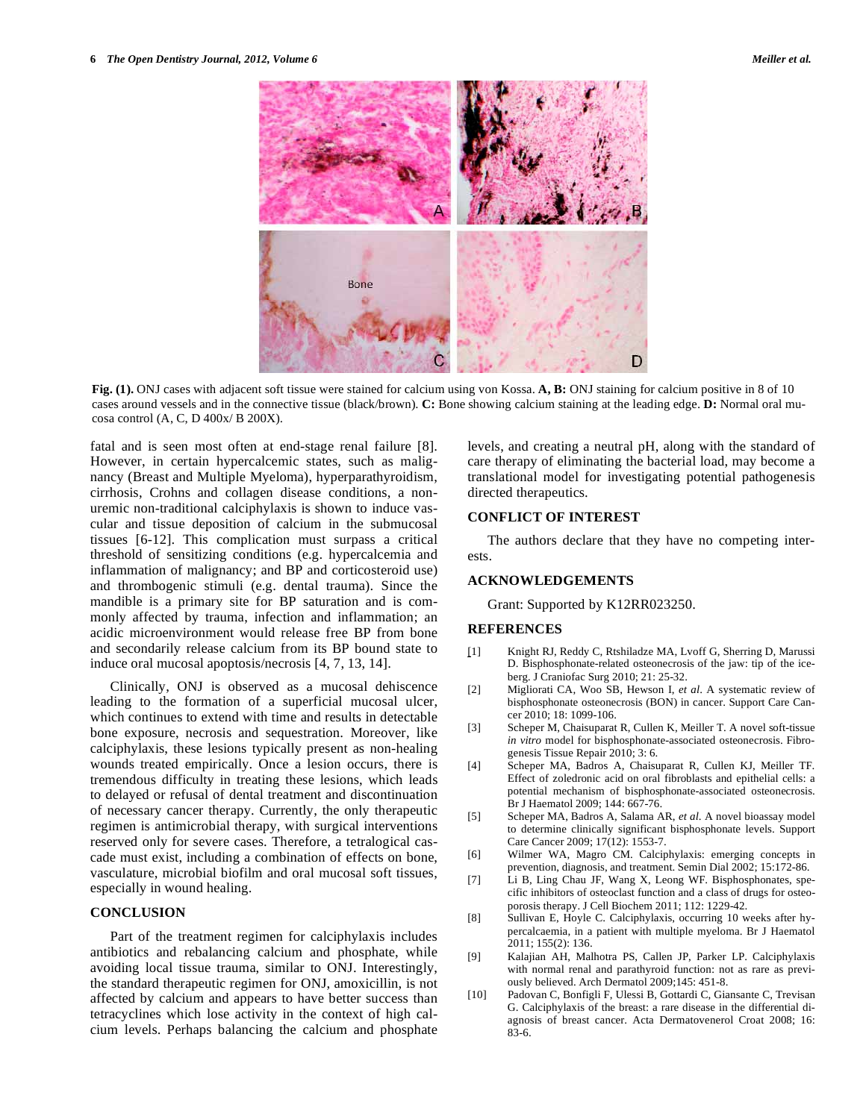**Fig. (1).** ONJ cases with adjacent soft tissue were stained for calcium using von Kossa. **A, B:** ONJ staining for calcium positive in 8 of 10 cases around vessels and in the connective tissue (black/brown). **C:** Bone showing calcium staining at the leading edge. **D:** Normal oral mucosa control (A, C, D 400x/ B 200X).

fatal and is seen most often at end-stage renal failure [8]. However, in certain hypercalcemic states, such as malignancy (Breast and Multiple Myeloma), hyperparathyroidism, cirrhosis, Crohns and collagen disease conditions, a nonuremic non-traditional calciphylaxis is shown to induce vascular and tissue deposition of calcium in the submucosal tissues [6-12]. This complication must surpass a critical threshold of sensitizing conditions (e.g. hypercalcemia and inflammation of malignancy; and BP and corticosteroid use) and thrombogenic stimuli (e.g. dental trauma). Since the mandible is a primary site for BP saturation and is commonly affected by trauma, infection and inflammation; an acidic microenvironment would release free BP from bone and secondarily release calcium from its BP bound state to induce oral mucosal apoptosis/necrosis [4, 7, 13, 14].

Clinically, ONJ is observed as a mucosal dehiscence leading to the formation of a superficial mucosal ulcer, which continues to extend with time and results in detectable bone exposure, necrosis and sequestration. Moreover, like calciphylaxis, these lesions typically present as non-healing wounds treated empirically. Once a lesion occurs, there is tremendous difficulty in treating these lesions, which leads to delayed or refusal of dental treatment and discontinuation of necessary cancer therapy. Currently, the only therapeutic regimen is antimicrobial therapy, with surgical interventions reserved only for severe cases. Therefore, a tetralogical cascade must exist, including a combination of effects on bone, vasculature, microbial biofilm and oral mucosal soft tissues, especially in wound healing.

# **CONCLUSION**

Part of the treatment regimen for calciphylaxis includes antibiotics and rebalancing calcium and phosphate, while avoiding local tissue trauma, similar to ONJ. Interestingly, the standard therapeutic regimen for ONJ, amoxicillin, is not affected by calcium and appears to have better success than tetracyclines which lose activity in the context of high calcium levels. Perhaps balancing the calcium and phosphate levels, and creating a neutral pH, along with the standard of care therapy of eliminating the bacterial load, may become a translational model for investigating potential pathogenesis directed therapeutics.

# **CONFLICT OF INTEREST**

The authors declare that they have no competing interests.

#### **ACKNOWLEDGEMENTS**

Grant: Supported by K12RR023250.

### **REFERENCES**

- [1] Knight RJ, Reddy C, Rtshiladze MA, Lvoff G, Sherring D, Marussi D. Bisphosphonate-related osteonecrosis of the jaw: tip of the iceberg*.* J Craniofac Surg 2010; 21: 25-32.
- [2] Migliorati CA, Woo SB, Hewson I, *et al*. A systematic review of bisphosphonate osteonecrosis (BON) in cancer. Support Care Cancer 2010; 18: 1099-106.
- [3] Scheper M, Chaisuparat R, Cullen K, Meiller T. A novel soft-tissue *in vitro* model for bisphosphonate-associated osteonecrosis. Fibrogenesis Tissue Repair 2010; 3: 6.
- [4] Scheper MA, Badros A, Chaisuparat R, Cullen KJ, Meiller TF. Effect of zoledronic acid on oral fibroblasts and epithelial cells: a potential mechanism of bisphosphonate-associated osteonecrosis. Br J Haematol 2009; 144: 667-76.
- [5] Scheper MA, Badros A, Salama AR, *et al*. A novel bioassay model to determine clinically significant bisphosphonate levels. Support Care Cancer 2009; 17(12): 1553-7.
- [6] Wilmer WA, Magro CM. Calciphylaxis: emerging concepts in prevention, diagnosis, and treatment. Semin Dial 2002; 15:172-86.
- [7] Li B, Ling Chau JF, Wang X, Leong WF. Bisphosphonates, specific inhibitors of osteoclast function and a class of drugs for osteoporosis therapy. J Cell Biochem 2011; 112: 1229-42.
- [8] Sullivan E, Hoyle C. Calciphylaxis, occurring 10 weeks after hypercalcaemia, in a patient with multiple myeloma. Br J Haematol 2011; 155(2): 136.
- [9] Kalajian AH, Malhotra PS, Callen JP, Parker LP. Calciphylaxis with normal renal and parathyroid function: not as rare as previously believed. Arch Dermatol 2009;145: 451-8.
- [10] Padovan C, Bonfigli F, Ulessi B, Gottardi C, Giansante C, Trevisan G. Calciphylaxis of the breast: a rare disease in the differential diagnosis of breast cancer. Acta Dermatovenerol Croat 2008; 16: 83-6.